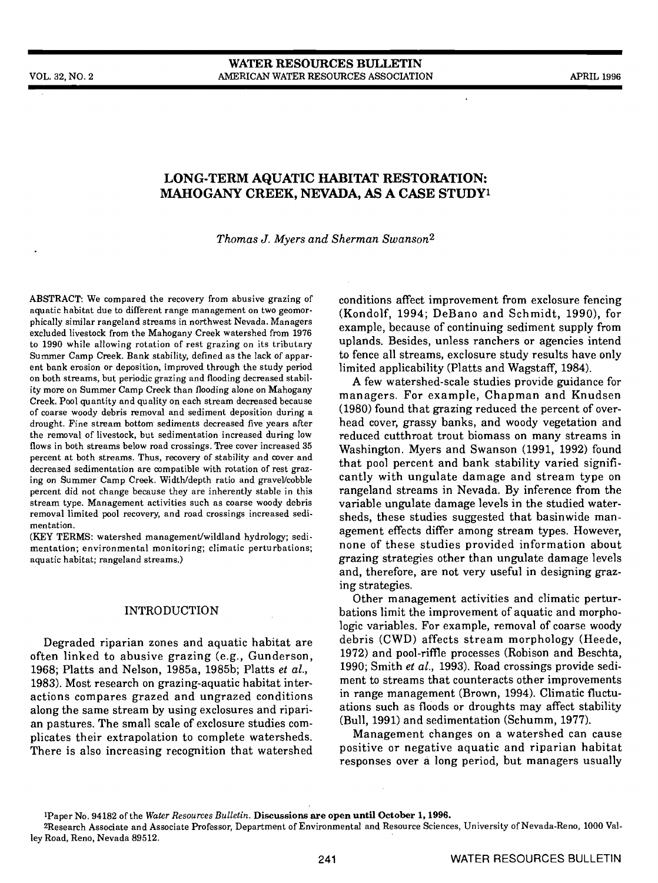# LONG-TERM AQUATIC HABITAT RESTORATION: MAHOGANY CREEK, NEVADA, AS A CASE STUDY'

Thomas J. Myers and Sherman Swanson2

ABSTRACT: We compared the recovery from abusive grazing of aquatic habitat due to different range management on two geomorphically similar rangeland streams in northwest Nevada. Managers excluded livestock from the Mahogany Creek watershed from 1976 to 1990 while allowing rotation of rest grazing on its tributary Summer Camp Creek. Bank stability, defined as the lack of apparent bank erosion or deposition, improved through the study period on both streams, but periodic grazing and flooding decreased stability more on Summer Camp Creek than flooding alone on Mahogany Creek. Pool quantity and quality on each stream decreased because of coarse woody debris removal and sediment deposition during a drought. Fine stream bottom sediments decreased five years after the removal of livestock, but sedimentation increased during low flows in both streams below road crossings. Tree cover increased 35 percent at both streams. Thus, recovery of stability and cover and decreased sedimentation are compatible with rotation of rest grazing on Summer Camp Creek. Width/depth ratio and gravel/cobble percent did not change because they are inherently stable in this stream type. Management activities such as coarse woody debris removal limited pool recovery, and road crossings increased sedimentation.

(KEY TERMS: watershed management/wildland hydrology; sedimentation; environmental monitoring; climatic perturbations; aquatic habitat; rangeland streams.)

#### INTRODUCTION

Degraded riparian zones and aquatic habitat are often linked to abusive grazing (e.g., Gunderson, 1968; Platts and Nelson, 1985a, 1985b; Platts et al., 1983). Most research on grazing-aquatic habitat interactions compares grazed and ungrazed conditions along the same stream by using exclosures and riparian pastures. The small scale of exciosure studies complicates their extrapolation to complete watersheds. There is also increasing recognition that watershed conditions affect improvement from exclosure fencing (Kondolf, 1994; DeBano and Schmidt, 1990), for example, because of continuing sediment supply from uplands. Besides, unless ranchers or agencies intend to fence all streams, exciosure study results have only limited applicability (Platts and Wagstaff, 1984).

A few watershed-scale studies provide guidance for managers. For example, Chapman and Knudsen (1980) found that grazing reduced the percent of overhead cover, grassy banks, and woody vegetation and reduced cutthroat trout biomass on many streams in Washington. Myers and Swanson (1991, 1992) found that pool percent and bank stability varied significantly with ungulate damage and stream type on rangeland streams in Nevada. By inference from the variable ungulate damage levels in the studied watersheds, these studies suggested that basinwide management effects differ among stream types. However, none of these studies provided information about grazing strategies other than ungulate damage levels and, therefore, are not very useful in designing graz-

Other management activities and climatic perturbations limit the improvement of aquatic and morphologic variables. For example, removal of coarse woody debris (CWD) affects stream morphology (Heede, 1972) and pool-riffle processes (Robison and Beschta, 1990; Smith et al., 1993). Road crossings provide sediment to streams that counteracts other improvements in range management (Brown, 1994). Climatic fluctuations such as floods or droughts may affect stability (Bull, 1991) and sedimentation (Schumm, 1977).

Management changes on a watershed can cause positive or negative aquatic and riparian habitat responses over a long period, but managers usually

iPaper No. 94182 of the Water Resources Bulletin. Discussions are open until October 1, 1996.

2Research Associate and Associate Professor, Department of Environmental and Resource Sciences, University of Nevada-Reno, 1000 Valley Road, Reno, Nevada 89512.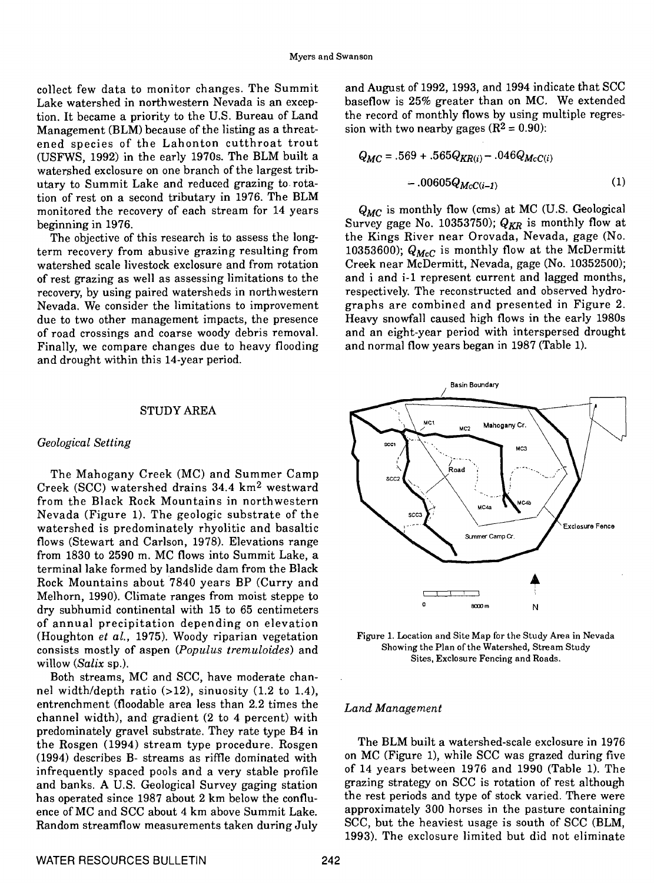collect few data to monitor changes. The Summit Lake watershed in northwestern Nevada is an exception. It became a priority to the U.S. Bureau of Land Management (BLM) because of the listing as a threat-<br>ened species of the Lahonton cutthroat trout<br>(ISEWS 1992) in the early 1970s. The BLM built a (USFWS, 1992) in the early 1970s. The BLM built a watershed exciosure on one branch of the largest tributary to Summit Lake and reduced grazing to. rotation of rest on a second tributary in 1976. The BLM monitored the recovery of each stream for 14 years beginning in 1976.

The objective of this research is to assess the longterm recovery from abusive grazing resulting from watershed scale livestock exciosure and from rotation of rest grazing as well as assessing limitations to the Nevada. We consider the limitations to improvement due to two other management impacts, the presence of road crossings and coarse woody debris removal. Finally, we compare changes due to heavy flooding and drought within this 14-year period.

#### STUDY AREA

#### Geological Setting

The Mahogany Creek (MC) and Summer Camp Creek (SCC) watershed drains 34.4 km2 westward from the Black Rock Mountains in northwestern Nevada (Figure 1). The geologic substrate of the watershed is predominately rhyolitic and basaltic flows (Stewart and Carlson, 1978). Elevations range from 1830 to 2590 m. MC flows into Summit Lake, a terminal lake formed by landslide dam from the Black Rock Mountains about 7840 years BP (Curry and Melhorn, 1990). Climate ranges from moist steppe to dry subhumid continental with 15 to 65 centimeters of annual precipitation depending on elevation (Houghton et al., 1975). Woody riparian vegetation consists mostly of aspen (Populus tremuloides) and willow (Salix sp.).

Both streams, MC and SCC, have moderate channel width/depth ratio (>12), sinuosity (1.2 to 1.4), entrenchment (floodable area less than 2.2 times the channel width), and gradient (2 to 4 percent) with predominately gravel substrate. They rate type B4 in the Rosgen (1994) stream type procedure. Rosgen (1994) describes B- streams as riffle dominated with infrequently spaced pools and a very stable profile and banks. A U.S. Geological Survey gaging station has operated since 1987 about 2 km below the confluence of MC and SCC about 4 km above Summit Lake. Random streamfiow measurements taken during July and August of 1992, 1993, and 1994 indicate that SCC baseflow is 25% greater than on MC. We extended the record of monthly flows by using multiple regression with two nearby gages  $(R^2 = 0.90)$ :

$$
Q_{MC} = .569 + .565 Q_{KR(i)} - .046 Q_{McC(i)}
$$
  
- .00605 Q\_{McC(i-1)} (1)

 $Q_{MC}$  is monthly flow (cms) at MC (U.S. Geological Survey gage No. 10353750);  $Q_{KR}$  is monthly flow at the Kings River near Orovada, Nevada, gage (No. 10353600);  $Q_{McC}$  is monthly flow at the McDermitt Creek near McDermitt, Nevada, gage (No. 10352500); and i and i-1 represent current and lagged months, respectively. The reconstructed and observed hydrographs are combined and presented in Figure 2. Heavy snowfall caused high flows in the early 1980s and an eight-year period with interspersed drought and normal flow years began in 1987 (Table 1).



Figure 1. Location and Site Map for the Study Area in Nevada Showing the Plan of the Watershed, Stream Study Sites, Exciosure Fencing and Roads.

#### Land Management

The BLM built a watershed-scale exciosure in 1976 on MC (Figure 1), while SCC was grazed during five of 14 years between 1976 and 1990 (Table 1). The grazing strategy on SCC is rotation of rest although the rest periods and type of stock varied. There were approximately 300 horses in the pasture containing SCC, but the heaviest usage is south of SCC (BLM, 1993). The exclosure limited but did not eliminate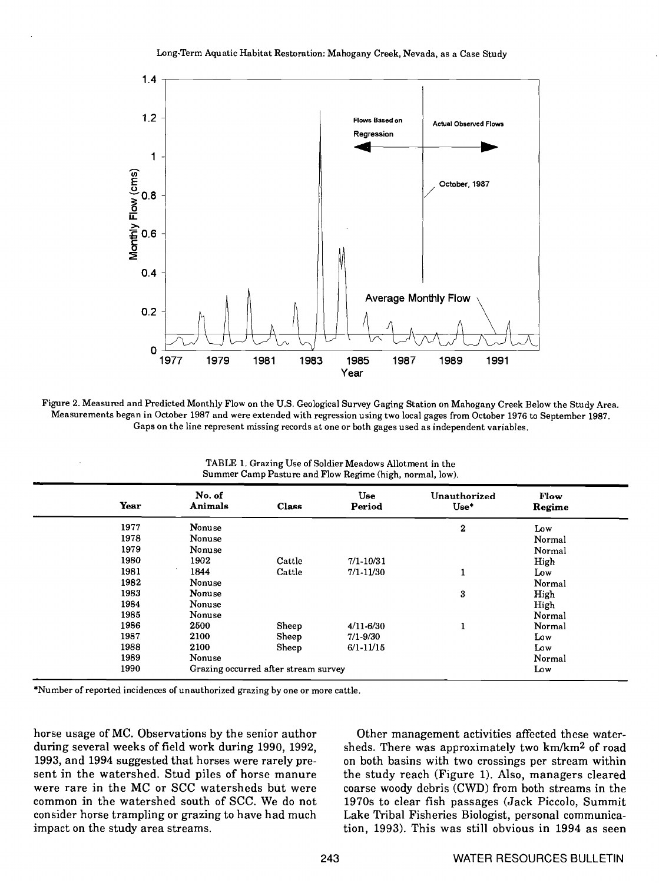

Figure 2. Measured and Predicted Monthly Flow on the U.S. Geological Survey Gaging Station on Mahogany Creek Below the Study Area. Measurements began in October 1987 and were extended with regression using two local gages from October 1976 to September 1987. Gaps on the line represent missing records at one or both gages used as independent variables.

TABLE 1. Grazing Use of Soldier Meadows Allotment in the Summer Camp Pasture and Flow Regime (high, normal, low).

| Year | No. of<br>Animals | <b>Class</b>                         | <b>Use</b><br>Period | Unauthorized<br>$Use*$ | Flow<br>Regime |
|------|-------------------|--------------------------------------|----------------------|------------------------|----------------|
| 1977 | Nonuse            |                                      |                      | $\bf{2}$               | Low            |
| 1978 | Nonuse            |                                      |                      |                        | Normal         |
| 1979 | Nonuse            |                                      |                      |                        | Normal         |
| 1980 | 1902              | Cattle                               | $7/1 - 10/31$        |                        | High           |
| 1981 | 1844              | Cattle                               | 7/1.11/30            |                        | Low            |
| 1982 | Nonuse            |                                      |                      |                        | Normal         |
| 1983 | Nonuse            |                                      |                      | 3                      | High           |
| 1984 | Nonuse            |                                      |                      |                        | High           |
| 1985 | Nonuse            |                                      |                      |                        | Normal         |
| 1986 | 2500              | Sheep                                | $4/11 - 6/30$        | л.                     | Normal         |
| 1987 | 2100              | Sheep                                | 7/1-9/30             |                        | Low            |
| 1988 | 2100              | Sheep                                | $6/1 - 11/15$        |                        | Low            |
| 1989 | Nonuse            |                                      |                      |                        | Normal         |
| 1990 |                   | Grazing occurred after stream survey |                      |                        | Low            |

\*Number of reported incidences of unauthorized grazing by one or more cattle.

horse usage of MC. Observations by the senior author during several weeks of field work during 1990, 1992, 1993, and 1994 suggested that horses were rarely present in the watershed. Stud piles of horse manure were rare in the MC or SCC watersheds but were common in the watershed south of SCC. We do not consider horse trampling or grazing to have had much impact on the study area streams.

Other management activities affected these watersheds. There was approximately two km/km2 of road on both basins with two crossings per stream within the study reach (Figure 1). Also, managers cleared coarse woody debris (CWD) from both streams in the 1970s to clear fish passages (Jack Piccolo, Summit Lake Tribal Fisheries Biologist, personal communication, 1993). This was still obvious in 1994 as seen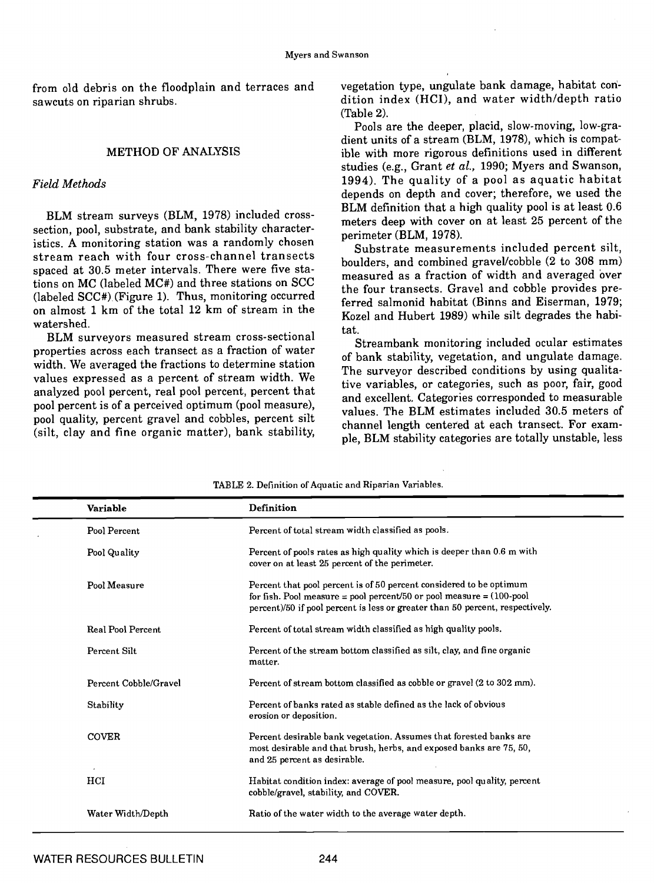sawcuts on riparian shrubs.

# METHOD OF ANALYSIS

# Field Methods

BLM stream surveys (BLM, 1978) included crosssection, pool, substrate, and bank stability charactersection, pool, substrate, and bank stability character-<br>istics. A monitoring station was a randomly chosen<br> $\alpha$ -between accounce stream reach with four cross-channel transects spaced at 30.5 meter intervals. There were five stations on MC (labeled MC#) and three stations on SCC<br>(labeled SCC#) (Figure 1). Thus, monitoring occurred on almost 1 km of the total 12 km of stream in the watershed.

BLM surveyors measured stream cross-sectional properties across each transect as a fraction of water width. We averaged the fractions to determine station values expressed as a percent of stream width. We analyzed pool percent, real pool percent, percent that pooi percent is of a perceived optimum (pool measure), pool quality, percent gravel and cobbles, percent silt (silt, clay and fine organic matter), bank stability,

from old debris on the floodplain and terraces and vegetation type, ungulate bank damage, habitat condition index (HCI), and water width/depth ratio (Table 2).

> Pools are the deeper, placid, slow-moving, low-gradient units of a stream (BLM, 1978), which is compatible with more rigorous definitions used in different studies (e.g., Grant et al., 1990; Myers and Swanson, 1994). The quality of a pool as aquatic habitat depends on depth and cover; therefore, we used the BLM definition that a high quality pool is at least 0.6 meters deep with cover on at least 25 percent of the

> Substrate measurements included percent silt, boulders, and combined gravel/cobble (2 to 308 mm) measured as a fraction of width and averaged over the four transects. Gravel and cobble provides preferred salmonid habitat (Binns and Eiserman, 1979; Kozel and Hubert 1989) while silt degrades the habitat.

> Streambank monitoring included ocular estimates of bank stability, vegetation, and ungulate damage. The surveyor described conditions by using qualitative variables, or categories, such as poor, fair, good and excellent, Categories corresponded to measurable values. The BLM estimates included 30.5 meters of channel length centered at each transect. For example, BLM stability categories are totally unstable, less

| Variable              | Definition                                                                                                                                                                                                                      |
|-----------------------|---------------------------------------------------------------------------------------------------------------------------------------------------------------------------------------------------------------------------------|
| Pool Percent          | Percent of total stream width classified as pools.                                                                                                                                                                              |
| Pool Quality          | Percent of pools rates as high quality which is deeper than 0.6 m with<br>cover on at least 25 percent of the perimeter.                                                                                                        |
| Pool Measure          | Percent that pool percent is of 50 percent considered to be optimum<br>for fish. Pool measure = pool percent/50 or pool measure = $(100$ -pool<br>percent)/50 if pool percent is less or greater than 50 percent, respectively. |
| Real Pool Percent     | Percent of total stream width classified as high quality pools.                                                                                                                                                                 |
| Percent Silt          | Percent of the stream bottom classified as silt, clay, and fine organic<br>matter.                                                                                                                                              |
| Percent Cobble/Gravel | Percent of stream bottom classified as cobble or gravel (2 to 302 mm).                                                                                                                                                          |
| Stability             | Percent of banks rated as stable defined as the lack of obvious<br>erosion or deposition.                                                                                                                                       |
| <b>COVER</b>          | Percent desirable bank vegetation. Assumes that forested banks are<br>most desirable and that brush, herbs, and exposed banks are 75, 50,<br>and 25 percent as desirable.                                                       |
| HCI                   | Habitat condition index: average of pool measure, pool quality, percent<br>cobble/gravel, stability, and COVER.                                                                                                                 |
| Water Width/Depth     | Ratio of the water width to the average water depth.                                                                                                                                                                            |
|                       |                                                                                                                                                                                                                                 |

TABLE 2. Definition of Aquatic and Riparian Variables.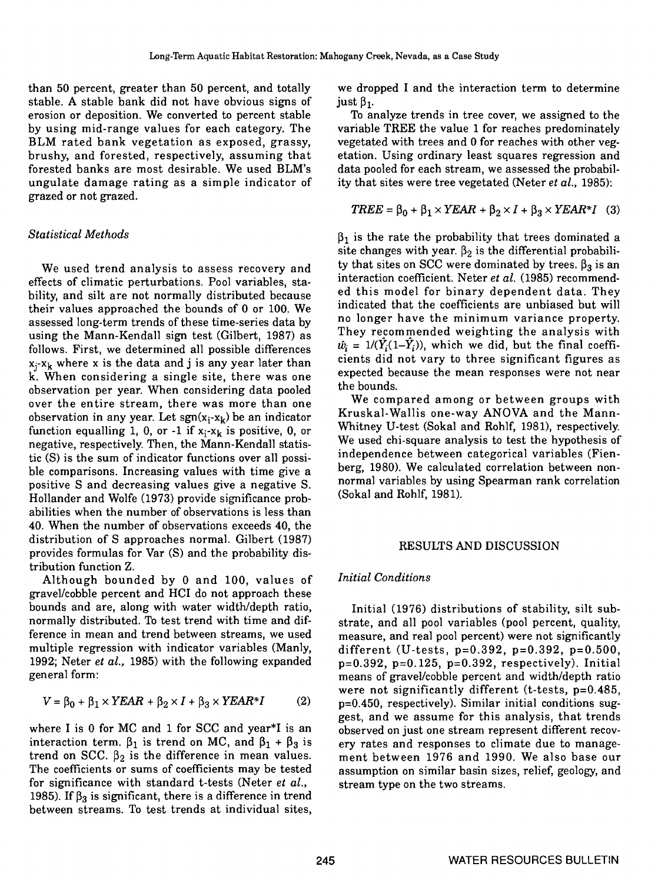than 50 percent, greater than 50 percent, and totally stable. A stable bank did not have obvious signs of just  $\beta_1$ . erosion or deposition. We converted to percent stable by using mid-range values for each category. The BLM rated bank vegetation as exposed, grassy, brushy, and forested, respectively, assuming that forested banks are most desirable. We used BLM's ungulate damage rating as a simple indicator of grazed or not grazed.

## Statistical Methods

We used trend analysis to assess recovery and effects of climatic perturbations. Pool variables, stability, and silt are not normally distributed because their values approached the bounds of 0 or 100. We assessed long-term trends of these time-series data by using the Mann-Kendall sign test (Gilbert, 1987) as follows. First, we determined all possible differences  $x_j-x_k$  where x is the data and j is any year later than k. When considering a single site, there was one observation per year. When considering data pooled over the entire stream, there was more than one observation in any year. Let  $sgn(x_i-x_k)$  be an indicator<br>function equalling 1, 0, or 1 if  $x_i-x_j$  is positive 0, or Whitney U-test (Sokal and Rohlf, 1981), respectively. function equalling 1, 0, or -1 if  $x_i-x_k$  is positive, 0, or negative, respectively. Then, the Mann-Kendall statistic (S) is the sum of indicator functions over all possible comparisons. Increasing values with time give a positive S and decreasing values give a negative S. Hollander and Wolfe (1973) provide significance probabilities when the number of observations is less than 40. When the number of observations exceeds 40, the distribution of S approaches normal. Gilbert (1987) provides formulas for Var (5) and the probability distribution function Z.

Although bounded by 0 and 100, values of gravel/cobble percent and HCI do not approach these bounds and are, along with water width/depth ratio, normally distributed. To test trend with time and difference in mean and trend between streams, we used multiple regression with indicator variables (Manly, 1992; Neter et al., 1985) with the following expanded  $p=0.392$ ,  $p=0.125$ ,  $p=0.392$ , respectively). Initial general form:

$$
V = \beta_0 + \beta_1 \times YEAR + \beta_2 \times I + \beta_3 \times YEAR^*I \qquad (2) \qquad p =
$$

where I is 0 for MC and 1 for SCC and year\*I is an interaction term.  $\beta_1$  is trend on MC, and  $\beta_1 + \beta_3$  is trend on SCC.  $\beta_2$  is the difference in mean values. ment between 1976 and 1990. We also base our The coefficients or sums of coefficients may be tested for significance with standard t-tests (Neter et al., 1985). If  $\beta_3$  is significant, there is a difference in trend between streams. To test trends at individual sites,

we dropped I and the interaction term to determine

To analyze trends in tree cover, we assigned to the variable TREE the value 1 for reaches predominately vegetated with trees and 0 for reaches with other vegetation. Using ordinary least squares regression and data pooled for each stream, we assessed the probability that sites were tree vegetated (Neter et al., 1985):

$$
TREE = \beta_0 + \beta_1 \times YEAR + \beta_2 \times I + \beta_3 \times YEAR \times I
$$
 (3)

 $\beta_1$  is the rate the probability that trees dominated a site changes with year.  $\beta_2$  is the differential probability that sites on SCC were dominated by trees.  $\beta_3$  is an interaction coefficient. Neter et al. (1985) recommended this model for binary dependent data. They indicated that the coefficients are unbiased but will no longer have the minimum variance property. They recommended weighting the analysis with  $\hat{w}_i = 1/(Y_i(1-Y_i))$ , which we did, but the final coefficients did not vary to three significant figures as expected because the mean responses were not near the bounds.

We compared among or between groups with Kruskal-Wallis one-way ANOVA and the Mann-We used chi-square analysis to test the hypothesis of independence between categorical variables (Fienberg, 1980). We calculated correlation between nonnormal variables by using Spearman rank correlation (Sokal and Rohlf, 1981).

#### RESULTS AND DISCUSSION

#### Initial Conditions

Initial (1976) distributions of stability, silt substrate, and all pooi variables (pool percent, quality, measure, and real pooi percent) were not significantly different (U-tests, p=O.392, p=O.392, p=O.500, means of gravel/cobble percent and width/depth ratio were not significantly different (t-tests,  $p=0.485$ ,  $p=0.450$ , respectively). Similar initial conditions suggest, and we assume for this analysis, that trends observed on just one stream represent different recovery rates and responses to climate due to manageassumption on similar basin sizes, relief, geology, and stream type on the two streams.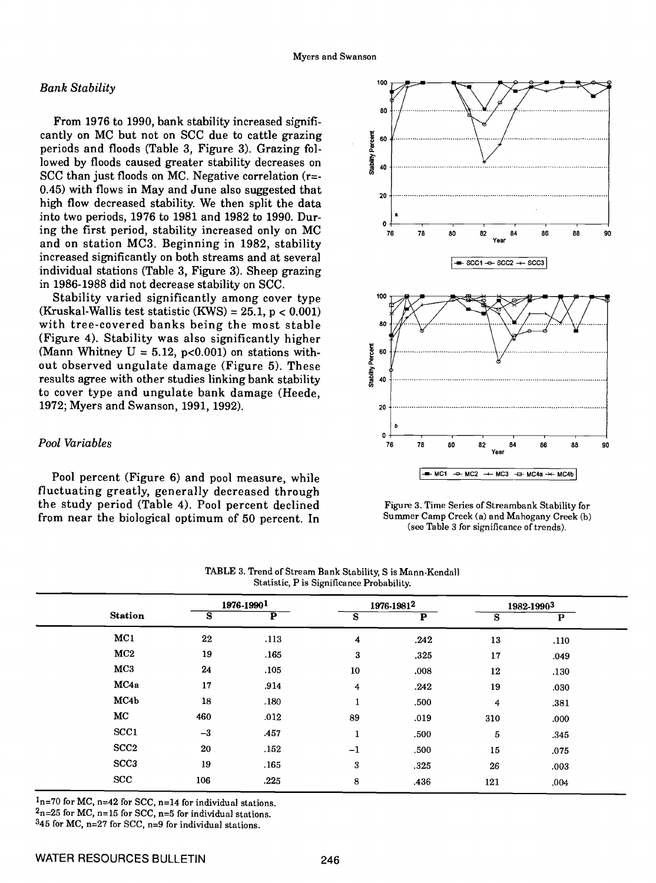#### Bank Stability

From 1976 to 1990, bank stability increased significantly on MC but not on SCC due to cattle grazing  $\frac{1}{2}$  s periods and floods (Table 3, Figure 3). Grazing followed by floods caused greater stability decreases on  $\frac{2}{3}$  40 SCC than just floods on MC. Negative correlation  $(r=$ 0.45) with flows in May and June also suggested that high flow decreased stability. We then split the data into two periods, 1976 to 1981 and 1982 to 1990. During the first period, stability increased only on MC  $_{76}$ and on station MC3. Beginning in 1982, stability increased significantly on both streams and at several individual stations (Table 3, Figure 3). Sheep grazing in 1986-1988 did not decrease stability on SCC.

Stability varied significantly among cover type<br>(Kruskal-Wallis test statistic (KWS) = 25.1,  $p < 0.001$ ) with tree-covered banks being the most stable  $\frac{1}{2}$ (Figure 4). Stability was also significantly higher (Mann Whitney  $U = 5.12$ , p<0.001) on stations without observed ungulate damage (Figure 5). These results agree with other studies linking bank stability to cover type and ungulate bank damage (Heede, 1972; Myers and Swanson, 1991, 1992).

# Pool Variables

Pool percent (Figure 6) and pool measure, while fluctuating greatly, generally decreased through the study period (Table 4). Pool percent declined from near the biological optimum of 50 percent. In



Figure 3. Time Series of Streambank Stability for Summer Camp Creek (a) and Mahogany Creek (b) (see Table 3 for significance of trends).

|                  |      | 1976-19901              | 1976-19812   |                         | 1982-19903 |              |
|------------------|------|-------------------------|--------------|-------------------------|------------|--------------|
| <b>Station</b>   | s    | $\overline{\mathbf{P}}$ | S            | $\overline{\mathbf{P}}$ | s          | $\mathbf{P}$ |
| MC1              | 22   | .113                    | 4            | .242                    | 13         | .110         |
| MC2              | 19   | .165                    | 3            | .325                    | 17         | .049         |
| MC3              | 24   | .105                    | 10           | .008                    | 12         | .130         |
| MC4a             | 17   | .914                    | 4            | .242                    | 19         | .030         |
| MC4b             | 18   | .180                    | $\mathbf{1}$ | .500                    | 4          | .381         |
| MC               | 460  | .012                    | 89           | .019                    | 310        | .000         |
| SCC <sub>1</sub> | $-3$ | .457                    | 1            | .500                    | 5          | .345         |
| SCC <sub>2</sub> | 20   | .152                    | $-1$         | .500                    | 15         | .075         |
| SCC <sub>3</sub> | 19   | .165                    | 3            | .325                    | 26         | .003         |
| <b>SCC</b>       | 106  | .225                    | 8            | .436                    | 121        | .004         |

TABLE 3. Trend of Stream Bank Stability, S is Mann-Kendall

 $1<sub>n=70</sub>$  for MC, n=42 for SCC, n=14 for individual stations.

 $2n=25$  for MC, n=15 for SCC, n=5 for individual stations.

345 for MC, n=27 for SCC, n=9 for individual stations.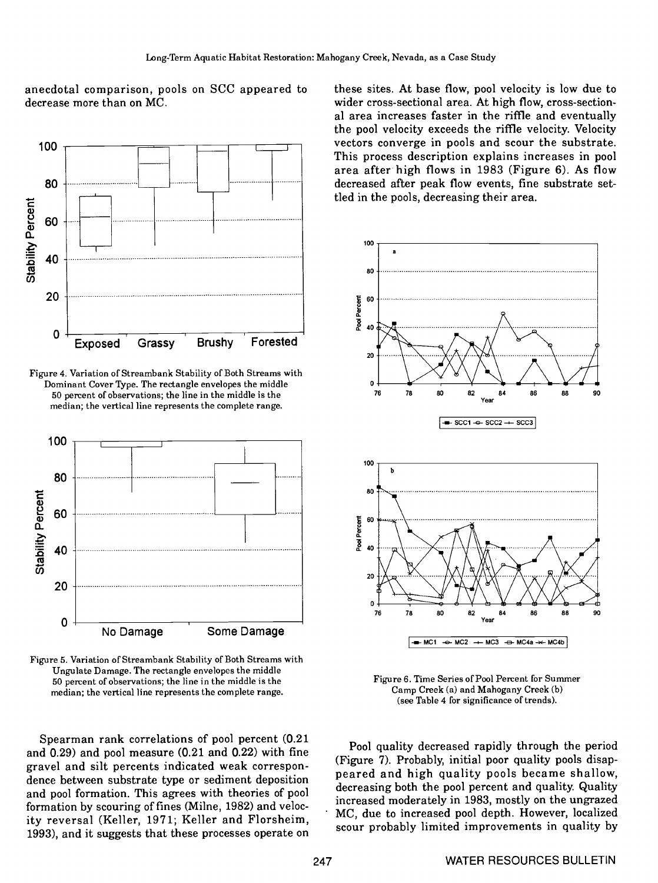anecdotal comparison, pools on SCC appeared to decrease more than on MC.



Figure 4. Variation of Streambank Stability of Both Streams with Dominant Cover Type. The rectangle envelopes the middle 50 percent of observations; the line in the middle is the median; the vertical line represents the complete range.





Spearman rank correlations of pooi percent (0.21 and 0.29) and pool measure (0.21 and 0.22) with fine gravel and silt percents indicated weak correspondence between substrate type or sediment deposition and pooi formation. This agrees with theories of pool formation by scouring of fines (Mime, 1982) and velocity reversal (Keller, 1971; Keller and Florsheim, 1993), and it suggests that these processes operate on these sites. At base flow, pool velocity is low due to wider cross-sectional area. At high flow, cross-sectional area increases faster in the riffle and eventually the pool velocity exceeds the riffle velocity. Velocity vectors converge in pools and scour the substrate. This process description explains increases in pool area after high flows in 1983 (Figure 6). As flow decreased after peak flow events, fine substrate settled in the poois, decreasing their area.



Figure 6. Time Series of Pool Percent for Summer Camp Creek (a) and Mahogany Creek (b) (see Table 4 for significance of trends).

Pool quality decreased rapidly through the period (Figure 7). Probably, initial poor quality pools disappeared and high quality pools became shallow, decreasing both the pool percent and quality. Quality increased moderately in 1983, mostly on the ungrazed MC, due to increased pool depth. However, localized scour probably limited improvements in quality by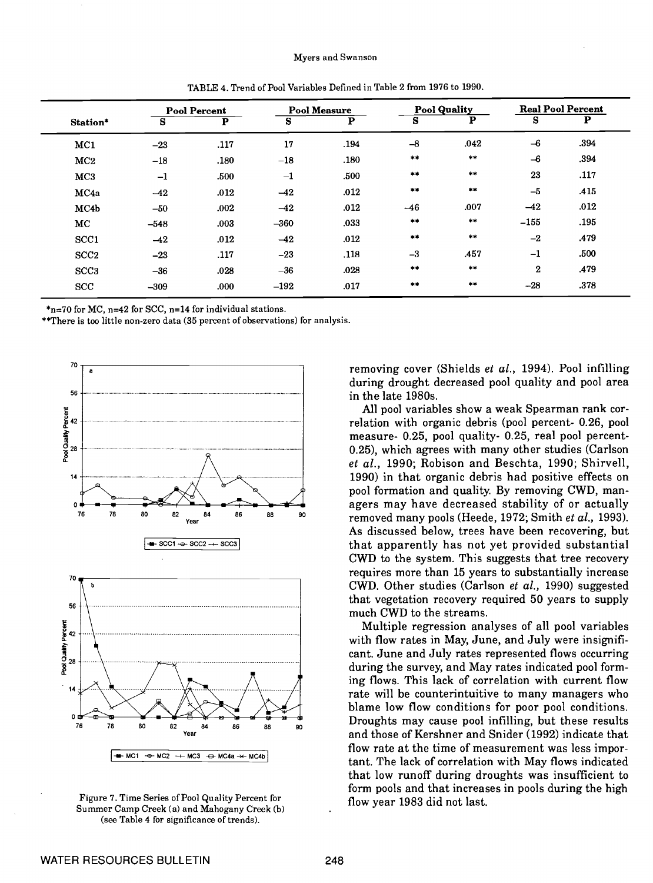|                  |        | <b>Pool Percent</b> |        | <b>Pool Measure</b> |              | <b>Pool Quality</b> |          | <b>Real Pool Percent</b> |  |
|------------------|--------|---------------------|--------|---------------------|--------------|---------------------|----------|--------------------------|--|
| Station*         | S      | P                   | S      | P                   | S            | P                   | S        | Р                        |  |
| MC1              | $-23$  | .117                | 17     | .194                | $-8$         | .042                | $-6$     | .394                     |  |
| MC2              | $-18$  | .180                | $-18$  | .180                | **           | $\pm\pm$            | $-6$     | .394                     |  |
| MC3              | $-1$   | .500                | $-1$   | .500                | $***$        | $\pm$ $\pm$         | 23       | .117                     |  |
| MC4a             | $-42$  | .012                | $-42$  | .012                | $\pm\pm$     | $\pm\pm$            | $-5$     | .415                     |  |
| MC4b             | $-50$  | .002                | $-42$  | .012                | $-46$        | .007                | $-42$    | .012                     |  |
| MC               | $-548$ | .003                | $-360$ | .033                | $***$        | $\pm$               | $-155$   | .195                     |  |
| SCC1             | $-42$  | .012                | $-42$  | .012                | $+ +$        | **                  | $-2$     | .479                     |  |
| SCC <sub>2</sub> | $-23$  | .117                | $-23$  | .118                | $-3$         | .457                | $-1$     | .500                     |  |
| SCC <sub>3</sub> | $-36$  | .028                | $-36$  | .028                | $***$        | **                  | $\bf{2}$ | .479                     |  |
| <b>SCC</b>       | $-309$ | .000                | $-192$ | .017                | $\star\star$ | $\pm$ 10            | $-28$    | .378                     |  |

TABLE 4. Trend of Pool Variables Defined in Table 2 from 1976 to 1990.

\*n=70 for MC, n=42 for SCC, n=14 for individual stations.

\*\*There is too little non-zero data (35 percent of observations) for analysis.



Figure 7. Time Series of Pool Quality Percent for flow year 1983 did not last. Summer Camp Creek (a) and Mahogany Creek (b) (see Table 4 for significance of trends).

removing cover (Shields et al., 1994). Pool infilling during drought decreased pooi quality and pool area in the late 1980s.

All pool variables show a weak Spearman rank correlation with organic debris (pool percent- 0.26, pool measure- 0.25, pool quality- 0.25, real pool percent-0.25), which agrees with many other studies (Carlson et al., 1990; Robison and Beschta, 1990; Shirvell, 1990) in that organic debris had positive effects on pool formation and quality. By removing CWD, managers may have decreased stability of or actually removed many pools (Heede, 1972; Smith et al., 1993). As discussed below, trees have been recovering, but that apparently has not yet provided substantial CWD to the system. This suggests that tree recovery requires more than 15 years to substantially increase<br>
Name of the studies (Carlson et al. 1990) suggested CWD. Other studies (Carison et al., 1990) suggested <sup>56</sup> that vegetation recovery required 50 years to supply much CWD to the streams.

Multiple regression analyses of all pool variables with flow rates in May, June, and July were insignificant. June and July rates represented flows occurring during the survey, and May rates indicated pool form-<br>ing flows. This lack of correlation with current flow rate will be counterintuitive to many managers who blame low flow conditions for poor pooi conditions.  $\frac{1}{2}$   $\frac{1}{2}$   $\frac{1}{8}$   $\frac{1}{8}$   $\frac{1}{8}$   $\frac{1}{8}$   $\frac{1}{8}$   $\frac{1}{8}$   $\frac{1}{8}$   $\frac{1}{8}$   $\frac{1}{8}$   $\frac{1}{8}$  Droughts may cause pool infilling, but these results<br>
and those of Kershner and Snider (1992) indicat and those of Kershner and Snider (1992) indicate that flow rate at the time of measurement was less important. The lack of correlation with May flows indicated that low runoff during droughts was insufficient to form pools and that increases in pools during the high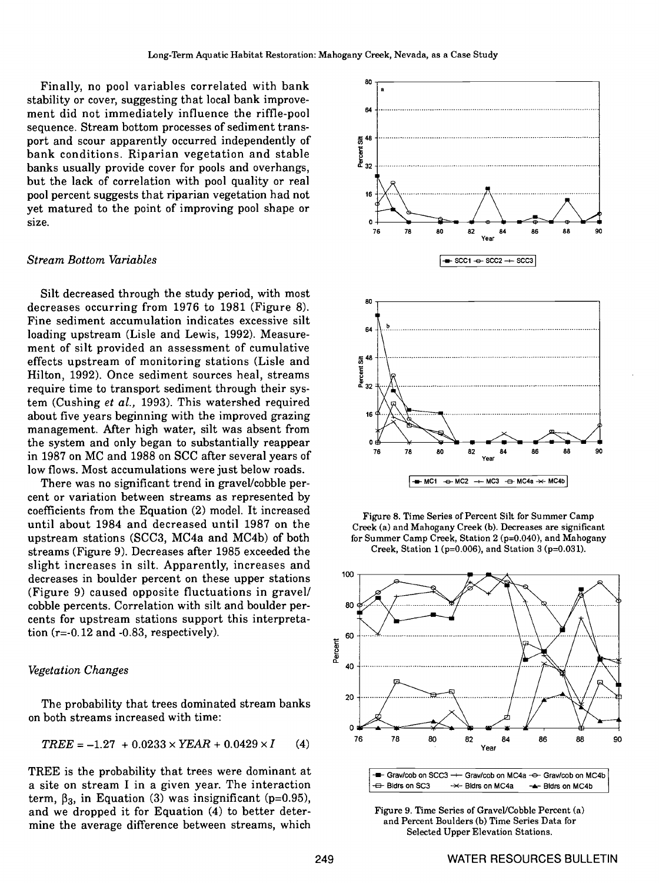Finally, no pool variables correlated with bank stability or cover, suggesting that local bank improvement did not immediately influence the riffle-pool sequence. Stream bottom processes of sediment transport and scour apparently occurred independently of bank conditions. Riparian vegetation and stable banks usually provide cover for pools and overhangs, but the lack of correlation with pooi quality or real pool percent suggests that riparian vegetation had not yet matured to the point of improving pooi shape or size.

#### Stream Bottom Variables

Silt decreased through the study period, with most decreases occurring from 1976 to 1981 (Figure 8). Fine sediment accumulation indicates excessive silt loading upstream (Lisle and Lewis, 1992). Measureloading upstream (Lisle and Lewis, 1992). Measure-<br>ment of silt provided an assessment of cumulative<br>effects upstream of monitoring stations (Lisle and  $\frac{2}{3}$ <sup>48</sup> effects upstream of monitoring stations (Lisle and Hilton, 1992). Once sediment sources heal, streams require time to transport sediment through their system (Cushing et al., 1993). This watershed required about five years beginning with the improved grazing management. After high water, silt was absent from the system and only began to substantially reappear in 1987 on MC and 1988 on SCC after several years of low flows. Most accumulations were just below roads.

There was no significant trend in gravel/cobble percent or variation between streams as represented by coefficients from the Equation (2) model. It increased until about 1984 and decreased until 1987 on the upstream stations (SCC3, MC4a and MC4b) of both streams (Figure 9). Decreases after 1985 exceeded the slight increases in silt. Apparently, increases and decreases in boulder percent on these upper stations (Figure 9) caused opposite fluctuations in gravel! cobble percents. Correlation with silt and boulder percents for upstream stations support this interpretation  $(r=-0.12$  and  $-0.83$ , respectively).

# $Vegetation Changes$   $40$

The probability that trees dominated stream banks <sup>20</sup> on both streams increased with time:

$$
TREE = -1.27 + 0.0233 \times YEAR + 0.0429 \times I \qquad (4)
$$

TREE is the probability that trees were dominant at TREE is the probability that trees were dominant at  $a$  site on stream I in a given year. The interaction term,  $\beta_3$ , in Equation (3) was insignificant (p=0.95), and we dropped it for Equation (4) to better determine the average difference between streams, which



Figure 8. Time Series of Percent Silt for Summer Camp Creek (a) and Mahogany Creek (b). Decreases are significant for Summer Camp Creek, Station 2 (p=O.O4O), and Mahogany Creek, Station 1 (p=0.006), and Station 3 (p=0.031).



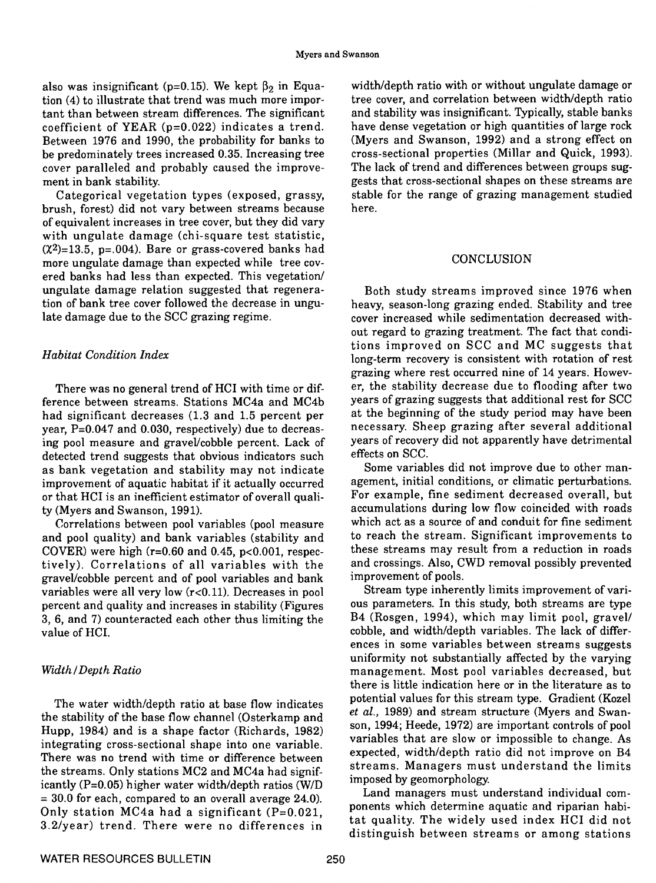also was insignificant (p=0.15). We kept  $\beta_2$  in Equation (4) to illustrate that trend was much more important than between stream differences. The significant coefficient of YEAR (p=O.022) indicates a trend. Between 1976 and 1990, the probability for banks to be predominately trees increased 0.35. Increasing tree cover paralleled and probably caused the improvement in bank stability.

Categorical vegetation types (exposed, grassy, brush, forest) did not vary between streams because of equivalent increases in tree cover, but they did vary with ungulate damage (chi-square test statistic,  $(\chi^2)$ =13.5, p=.004). Bare or grass-covered banks had more ungulate damage than expected while tree covered banks had less than expected. This vegetation/ ungulate damage relation suggested that regeneration of bank tree cover followed the decrease in ungulate damage due to the SCC grazing regime.

## Habitat Condition Index

There was no general trend of HCI with time or difference between streams. Stations MC4a and MC4b had significant decreases (1.3 and 1.5 percent per year, P=0.047 and 0.030, respectively) due to decreasing pool measure and gravel/cobble percent. Lack of detected trend suggests that obvious indicators such as bank vegetation and stability may not indicate improvement of aquatic habitat if it actually occurred or that HCI is an inefficient estimator of overall quality (Myers and Swanson, 1991).

Correlations between pooi variables (pool measure and pooi quality) and bank variables (stability and COVER) were high (r=0.60 and 0.45, p<0.O0l, respec- tively). Correlations of all variables with the gravel/cobble percent and of pool variables and bank variables were all very low (r<0.11). Decreases in pool percent and quality and increases in stability (Figures ous parameters. In this study, both streams are type<br>3. 6. and 7) counteracted each other thus limiting the B4 (Rosgen, 1994), which may limit pool, gravel/ 3, 6, and 7) counteracted each other thus limiting the value of HCI.

## Width/Depth Ratio

The water width/depth ratio at base flow indicates the stability of the base flow channel (Osterkamp and  $\frac{e}{2}$  and stream structure (whyers and swan-<br>
son, 1994; Heede, 1972) are important controls of pool Hupp, 1984) and is a shape factor (Richards, 1982) integrating cross-sectional shape into one variable. There was no trend with time or difference between the streams. Only stations MC2 and MC4a had significantly  $(P=0.05)$  higher water width/depth ratios  $(W/D$  imposed by geomorphology. = 30.0 for each, compared to an overall average 24.0).<br>Only station MC4a had a significant (P=0.021, 3.2/year) trend. There were no differences in

width/depth ratio with or without ungulate damage or tree cover, and correlation between width/depth ratio and stability was insignificant. Typically, stable banks have dense vegetation or high quantities of large rock (Myers and Swanson, 1992) and a strong effect on cross-sectional properties (Millar and Quick, 1993). The lack of trend and differences between groups suggests that cross-sectional shapes on these streams are stable for the range of grazing management studied here.

### **CONCLUSION**

Both study streams improved since 1976 when heavy, season-long grazing ended. Stability and tree cover increased while sedimentation decreased without regard to grazing treatment. The fact that conditions improved on SCC and MC suggests that long-term recovery is consistent with rotation of rest grazing where rest occurred nine of 14 years. However, the stability decrease due to flooding after two years of grazing suggests that additional rest for SCC at the beginning of the study period may have been necessary. Sheep grazing after several additional years of recovery did not apparently have detrimental effects on SCC.

Some variables did not improve due to other management, initial conditions, or climatic perturbations. For example, fine sediment decreased overall, but accumulations during low flow coincided with roads which act as a source of and conduit for fine sediment to reach the stream. Significant improvements to these streams may result from a reduction in roads and crossings. Also, CWD removal possibly prevented improvement of pools.

Stream type inherently limits improvement of various parameters. In this study, both streams are type cobble, and width/depth variables. The lack of differences in some variables between streams suggests uniformity not substantially affected by the varying management. Most pool variables decreased, but there is little indication here or in the literature as to potential values for this stream type. Gradient (Kozel et al., 1989) and stream structure (Myers and Swanvariables that are slow or impossible to change. As expected, width/depth ratio did not improve on B4 streams. Managers must understand the limits

Land managers must understand individual components which determine aquatic and riparian habitat quality. The widely used index HCI did not distinguish between streams or among stations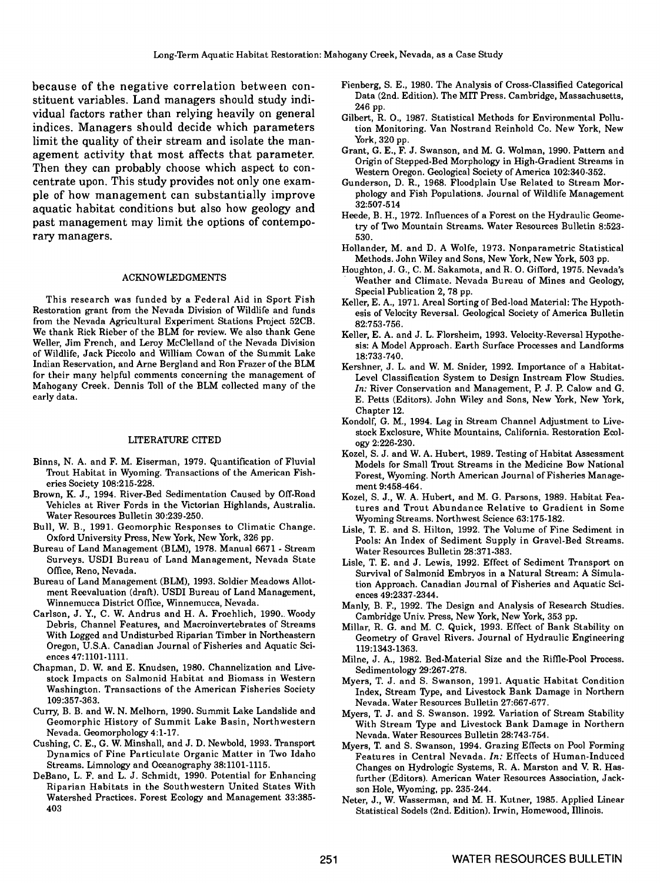because of the negative correlation between constituent variables. Land managers should study individual factors rather than relying heavily on general indices. Managers should decide which parameters tion Monitor<br>limit the quality of their stream and isolate the man-<br>York, 320 pp. limit the quality of their stream and isolate the management activity that most affects that parameter. Then they can probably choose which aspect to concentrate upon. This study provides not only one example of how management can substantially improve aquatic habitat conditions but also how geology and past management may limit the options of contemporary managers.

#### ACKNOWLEDGMENTS

This research was funded by a Federal Aid in Sport Fish Restoration grant from the Nevada Division of Wildlife and funds from the Nevada Agricultural Experiment Stations Project 52CB. We thank Rick Rieber of the BLM for review. We also thank Gene Weller, Jim French, and Leroy McClelIand of the Nevada Division of Wildlife, Jack Piccolo and William Cowan of the Summit Lake Indian Reservation, and Arne Bergland and Ron Frazer of the BLM for their many helpful comments concerning the management of Mahogany Creek. Dennis Toll of the BLM collected many of the early data.

#### LiTERATURE CITED

- Binns, N. A. and F. M. Eiserman, 1979. Quantification of Fluvial Trout Habitat in Wyoming. Transactions of the American Fisheries Society 108:215-228.
- Brown, K. J., 1994. River-Bed Sedimentation Caused by Off-Road Vehicles at River Fords in the Victorian Highlands, Australia. Water Resources Bulletin 30:239-250.
- Bull, W. B., 1991. Geomorphic Responses to Climatic Change. Oxford University Press, New York, New York, 326 pp.
- Bureau of Land Management (BLM), 1978. Manual 6671 Stream Surveys. USD1 Bureau of Land Management, Nevada State Office, Reno, Nevada.
- Bureau of Land Management (BLM), 1993. Soldier Meadows Allotment Reevaluation (draft). USD1 Bureau of Land Management, Winnemucca District Office, Winnemucca, Nevada.
- Carlson, J. Y., C. W. Andrus and H. A. Froehlich, 1990. Woody<br>Cambridge Univ. Press, New York, New York, 353 pp. Debris, Channel Features, and Macroinvertebrates of Streams With Logged and Undisturbed Riparian Timber in Northeastern Oregon, U.S.A. Canadian Journal of Fisheries and Aquatic Sciences 47:1101-1111.
- Chapman, D. W. and E. Knudsen, 1980. Channelization and Livestock Impacts on Salmonid Habitat and Biomass in Western Washington. Transactions of the American Fisheries Society 109:357-363.
- Curry, B. B. and W. N. Meihorn, 1990. Summit Lake Landslide and Geomorphic History of Summit Lake Basin, Northwestern Nevada. Geomorphology 4:1-17.
- Cushing, C. E., G. W. Minshall, and J. D. Newbold, 1993. Transport Dynamics of Fine Particulate Organic Matter in Two Idaho Streams. Limnology and Oceanography 38: 1101-1115.
- DeBano, L. F. and L. J. Schmidt, 1990. Potential for Enhancing Riparian Habitats in the Southwestern United States With Watershed Practices. Forest Ecology and Management 33:385- 403
- Fienberg, S. E., 1980. The Analysis of Cross-Classified Categorical Data (2nd. Edition). The MiT Press. Cambridge, Massachusetts, 246 pp.
- Gilbert, R. 0., 1987. Statistical Methods for Environmental Pollution Monitoring. Van Nostrand Reinhold Co. New York, New
- Grant, G. E., F. J. Swanson, and M. G. Wolman, 1990. Pattern and Origin of Stepped-Bed Morphology in High-Gradient Streams in Western Oregon. Geological Society of America 102:340-352.
- Gunderson, D. R., 1968. Floodplain Use Related to Stream Morphology and Fish Populations. Journal of Wildlife Management 32:507-514
- Heede, B. H., 1972. Influences of a Forest on the Hydraulic Geometry of Two Mountain Streams. Water Resources Bulletin 8:523- 530.
- Hollander, M. and D. A Wolfe, 1973. Nonparametric Statistical Methods. John Wiley and Sons, New York, New York, 503 pp.
- Houghton, J. G., C. M. Sakamota, and R. 0. Gifford, 1975. Nevada's Weather and Climate. Nevada Bureau of Mines and Geology, Special Publication 2, 78 pp.
- Keller, E. A., 1971. Areal Sorting of Bed-load Material: The Hypothesis of Velocity Reversal. Geological Society of America Bulletin 82:753-756.
- Keller, E. A. and J. L. Florsheim, 1993. Velocity-Reversal Hypothesis: A Model Approach. Earth Surface Processes and Landforms 18:733-740.
- Kershner, J. L. and W. M. Snider, 1992. Importance of a Habitat-Level Classification System to Design Instream Flow Studies. In: River Conservation and Management, P. J. P. Calow and G. E. Petts (Editors). John Wiley and Sons, New York, New York, Chapter 12.
- Kondoif, G. M., 1994. Lag in Stream Channel Adjustment to Livestock Exclosure, White Mountains, California. Restoration Ecology 2:226-230.
- Kozel, S. J. and W. A. Hubert, 1989. Testing of Habitat Assessment Models for Small Trout Streams in the Medicine Bow National Forest, Wyoming. North American Journal of Fisheries Management 9:458-464.
- Kozel, S. J., W. A. Hubert, and M. G. Parsons, 1989. Habitat Features and Trout Abundance Relative to Gradient in Some Wyoming Streams. Northwest Science 63: 175-182.
- Lisle, T. E. and S. Hilton, 1992. The Volume of Fine Sediment in Pools: An Index of Sediment Supply in Gravel-Bed Streams. Water Resources Bulletin 28:371-383.
- Lisle, T. E. and J. Lewis, 1992. Effect of Sediment Transport on Survival of Salmonid Embryos in a Natural Stream: A Simulation Approach. Canadian Journal of Fisheries and Aquatic Sciences 49:2337-2344.
- Manly, B. F., 1992. The Design and Analysis of Research Studies.
- Millar, R. G. and M. C. Quick, 1993. Effect of Bank Stability on Geometry of Gravel Rivers. Journal of Hydraulic Engineering 119:1343-1363.
- Milne, J. A., 1982. Bed-Material Size and the Riffle-Pool Process. Sedimentology 29:267-278.
- Myers, T. J. and S. Swanson, 1991. Aquatic Habitat Condition Index, Stream Type, and Livestock Bank Damage in Northern Nevada. Water Resources Bulletin 27:667-677.
- Myers, T. J. and S. Swanson. 1992. Variation of Stream Stability With Stream Type and Livestock Bank Damage in Northern Nevada. Water Resources Bulletin 28:743-754.
- Myers, T. and S. Swanson, 1994. Grazing Effects on Pool Forming Features in Central Nevada. In: Effects of Human-Induced Changes on Hydrologic Systems, R. A. Marston and V. R. Hasfurther (Editors). American Water Resources Association, Jackson Hole, Wyoming, pp. 235-244.
- Neter, J., W. Wasserman, and M. H. Kutner, 1985. Applied Linear Statistical Sodels (2nd. Edition). Irwin, Homewood, Illinois.